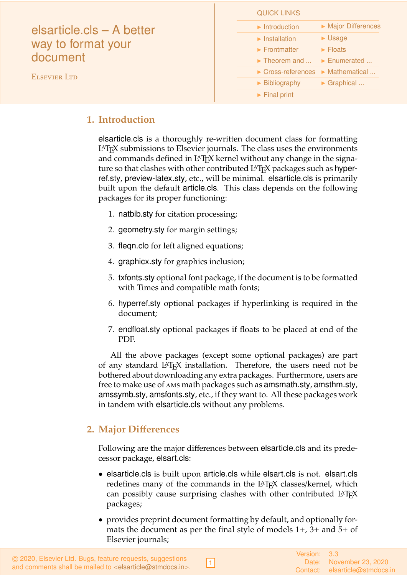<span id="page-0-2"></span>

| elsarticle.cls – A better<br>way to format your<br>document<br><b>ELSEVIER LTD</b> | <b>QUICK LINKS</b>                                                |
|------------------------------------------------------------------------------------|-------------------------------------------------------------------|
|                                                                                    | Major Differences<br>$\blacktriangleright$ Introduction           |
|                                                                                    | $\blacktriangleright$ Usage<br>$\blacktriangleright$ Installation |
|                                                                                    | $\blacktriangleright$ Frontmatter<br>$\blacktriangleright$ Floats |
|                                                                                    | $\triangleright$ Theorem and $\triangleright$ Enumerated          |
|                                                                                    | $\triangleright$ Cross-references $\triangleright$ Mathematical   |
|                                                                                    | $\triangleright$ Graphical<br>$\triangleright$ Bibliography       |
|                                                                                    | $\blacktriangleright$ Final print                                 |

# <span id="page-0-0"></span>**1. Introduction**

elsarticle.cls is a thoroughly re-written document class for formatting LATEX submissions to Elsevier journals. The class uses the environments and commands defined in  $L^4T_FX$  kernel without any change in the signature so that clashes with other contributed LAT<sub>E</sub>X packages such as hyperref.sty, preview-latex.sty, etc., will be minimal. elsarticle.cls is primarily built upon the default article.cls. This class depends on the following packages for its proper functioning:

- 1. natbib.sty for citation processing;
- 2. geometry.sty for margin settings;
- 3. fleqn.clo for left aligned equations;
- 4. graphicx.sty for graphics inclusion;
- 5. txfonts.sty optional font package, if the document is to be formatted with Times and compatible math fonts;
- 6. hyperref.sty optional packages if hyperlinking is required in the document;
- 7. endfloat.sty optional packages if floats to be placed at end of the PDF.

All the above packages (except some optional packages) are part of any standard LATEX installation. Therefore, the users need not be bothered about downloading any extra packages. Furthermore, users are free to make use of ams math packages such as amsmath.sty, amsthm.sty, amssymb.sty, amsfonts.sty, etc., if they want to. All these packages work in tandem with elsarticle.cls without any problems.

# <span id="page-0-1"></span>**2. Major Di**ff**erences**

Following are the major differences between elsarticle.cls and its predecessor package, elsart.cls:

- elsarticle.cls is built upon article.cls while elsart.cls is not. elsart.cls redefines many of the commands in the LAT<sub>E</sub>X classes/kernel, which can possibly cause surprising clashes with other contributed LAT<sub>E</sub>X packages;
- provides preprint document formatting by default, and optionally formats the document as per the final style of models 1+, 3+ and 5+ of Elsevier journals;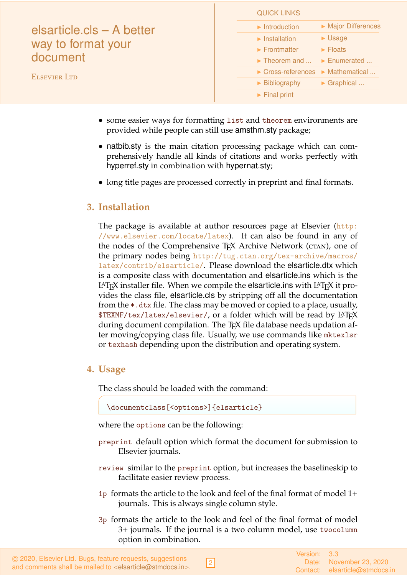| elsarticle.cls - A better<br>way to format your<br>document<br><b>ELSEVIER LTD</b> | <b>QUICK LINKS</b>                                              |                                  |
|------------------------------------------------------------------------------------|-----------------------------------------------------------------|----------------------------------|
|                                                                                    | $\blacktriangleright$ Introduction                              | Major Differences                |
|                                                                                    | $\blacktriangleright$ Installation                              | $\triangleright$ Usage           |
|                                                                                    | $\blacktriangleright$ Frontmatter                               | $\blacktriangleright$ Floats     |
|                                                                                    | $\blacktriangleright$ Theorem and                               | $\blacktriangleright$ Enumerated |
|                                                                                    | $\triangleright$ Cross-references $\triangleright$ Mathematical |                                  |
|                                                                                    | $\blacktriangleright$ Bibliography                              | $\triangleright$ Graphical       |
|                                                                                    | $\blacktriangleright$ Final print                               |                                  |
|                                                                                    |                                                                 |                                  |

- some easier ways for formatting list and theorem environments are provided while people can still use amsthm.sty package;
- natbib.sty is the main citation processing package which can comprehensively handle all kinds of citations and works perfectly with hyperref.sty in combination with hypernat.sty;
- long title pages are processed correctly in preprint and final formats.

# <span id="page-1-0"></span>**3. Installation**

The package is available at author resources page at Elsevier ([http:](http://www.elsevier.com/locate/latex) [//www.elsevier.com/locate/latex](http://www.elsevier.com/locate/latex)). It can also be found in any of the nodes of the Comprehensive T<sub>E</sub>X Archive Network (CTAN), one of the primary nodes being [http://tug.ctan.org/tex-archive/macros/](http://tug.ctan.org/tex-archive/macros/latex/contrib/elsarticle/) [latex/contrib/elsarticle/](http://tug.ctan.org/tex-archive/macros/latex/contrib/elsarticle/). Please download the elsarticle.dtx which is a composite class with documentation and elsarticle.ins which is the LAT<sub>EX</sub> installer file. When we compile the elsarticle ins with LAT<sub>EX</sub> it provides the class file, elsarticle.cls by stripping off all the documentation from the \*.dtx file. The class may be moved or copied to a place, usually, \$TEXMF/tex/latex/elsevier/, or a folder which will be read by LATEX during document compilation. The T<sub>E</sub>X file database needs updation after moving/copying class file. Usually, we use commands like mktexlsr or texhash depending upon the distribution and operating system.

# <span id="page-1-1"></span>**4. Usage**

The class should be loaded with the command:

\documentclass[<options>]{elsarticle}

where the options can be the following:

- preprint default option which format the document for submission to Elsevier journals.
- review similar to the preprint option, but increases the baselineskip to facilitate easier review process.
- 1p formats the article to the look and feel of the final format of model 1+ journals. This is always single column style.
- 3p formats the article to the look and feel of the final format of model 3+ journals. If the journal is a two column model, use twocolumn option in combination.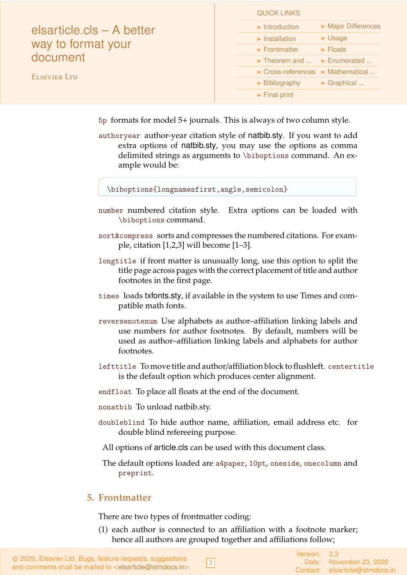| elsarticle.cls – A better<br>way to format your<br>document | QUIUN LIIYNƏ                                                    |                                  |
|-------------------------------------------------------------|-----------------------------------------------------------------|----------------------------------|
|                                                             | $\blacktriangleright$ Introduction                              | Major Differences                |
|                                                             | $\blacktriangleright$ Installation                              | $\blacktriangleright$ Usage      |
|                                                             | $\blacktriangleright$ Frontmatter                               | $\blacktriangleright$ Floats     |
|                                                             | $\blacktriangleright$ Theorem and                               | $\blacktriangleright$ Enumerated |
| <b>ELSEVIER LTD</b>                                         | $\triangleright$ Cross-references $\triangleright$ Mathematical |                                  |
|                                                             | $\blacktriangleright$ Bibliography                              | $\triangleright$ Graphical       |
|                                                             | $\blacktriangleright$ Final print                               |                                  |
|                                                             |                                                                 |                                  |

5p formats for model 5+ journals. This is always of two column style.

 $Q$ LILOIZ LINUZC

authoryear author-year citation style of natbib.sty. If you want to add extra options of natbib.sty, you may use the options as comma delimited strings as arguments to \biboptions command. An example would be:

\biboptions{longnamesfirst,angle,semicolon}

- number numbered citation style. Extra options can be loaded with \biboptions command.
- sort&compress sorts and compresses the numbered citations. For example, citation [1,2,3] will become [1–3].
- longtitle if front matter is unusually long, use this option to split the title page across pages with the correct placement of title and author footnotes in the first page.
- times loads txfonts.sty, if available in the system to use Times and compatible math fonts.
- reversenotenum Use alphabets as author–affiliation linking labels and use numbers for author footnotes. By default, numbers will be used as author–affiliation linking labels and alphabets for author footnotes.
- lefttitle To move title and author/affiliation block to flushleft. centertitle is the default option which produces center alignment.
- endfloat To place all floats at the end of the document.
- nonatbib To unload natbib.sty.
- doubleblind To hide author name, affiliation, email address etc. for double blind refereeing purpose.
	- All options of article.cls can be used with this document class.

The default options loaded are a4paper, 10pt, oneside, onecolumn and preprint.

## <span id="page-2-0"></span>**5. Frontmatter**

There are two types of frontmatter coding:

(1) each author is connected to an affiliation with a footnote marker; hence all authors are grouped together and affiliations follow;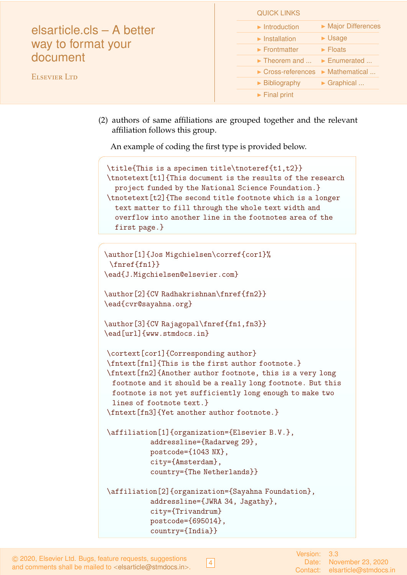| elsarticle.cls – A better<br>way to format your<br>document |                                                                 |                              |
|-------------------------------------------------------------|-----------------------------------------------------------------|------------------------------|
|                                                             | $\blacktriangleright$ Introduction                              | Major Differences            |
|                                                             | $\blacktriangleright$ Installation                              | $\blacktriangleright$ Usage  |
|                                                             | $\blacktriangleright$ Frontmatter                               | $\blacktriangleright$ Floats |
|                                                             | $\blacktriangleright$ Theorem and                               | Enumerated                   |
| <b>ELSEVIER LTD</b>                                         | $\triangleright$ Cross-references $\triangleright$ Mathematical |                              |
|                                                             | $\blacktriangleright$ Bibliography                              | $\triangleright$ Graphical   |
|                                                             | $\blacktriangleright$ Final print                               |                              |
|                                                             |                                                                 |                              |

(2) authors of same affiliations are grouped together and the relevant affiliation follows this group.

QUICK LINKS

An example of coding the first type is provided below.

```
\title{This is a specimen title\tnoteref{t1,t2}}
\tnotetext[t1]{This document is the results of the research
 project funded by the National Science Foundation.}
\tnotetext[t2]{The second title footnote which is a longer
  text matter to fill through the whole text width and
 overflow into another line in the footnotes area of the
 first page.}
```

```
\author[1]{Jos Migchielsen\corref{cor1}%
 \fnref{fn1}}
\ead{J.Migchielsen@elsevier.com}
```

```
\author[2]{CV Radhakrishnan\fnref{fn2}}
\ead{cvr@sayahna.org}
```

```
\author[3]{CV Rajagopal\fnref{fn1,fn3}}
\ead[url]{www.stmdocs.in}
```
\cortext[cor1]{Corresponding author} \fntext[fn1]{This is the first author footnote.} \fntext[fn2]{Another author footnote, this is a very long footnote and it should be a really long footnote. But this footnote is not yet sufficiently long enough to make two lines of footnote text.}

```
\fntext[fn3]{Yet another author footnote.}
```

```
\affiliation[1]{organization={Elsevier B.V.},
          addressline={Radarweg 29},
          postcode={1043 NX},
          city={Amsterdam},
          country={The Netherlands}}
```

```
\affiliation[2]{organization={Sayahna Foundation},
          addressline={JWRA 34, Jagathy},
          city={Trivandrum}
          postcode={695014},
          country={India}}
```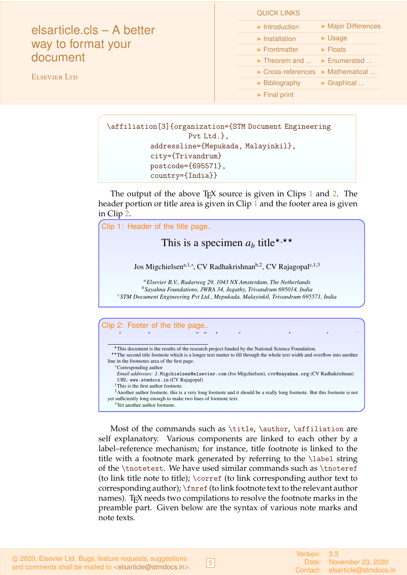| elsarticle.cls - A better |
|---------------------------|
| way to format your        |
| document                  |

ELSEVIER LTD

### QUICK LINKS

| $\blacktriangleright$ Introduction                              | Major Differences            |
|-----------------------------------------------------------------|------------------------------|
| $\blacktriangleright$ Installation                              | $\blacktriangleright$ Usage  |
| $\blacktriangleright$ Frontmatter                               | $\blacktriangleright$ Floats |
| $\triangleright$ Theorem and $\triangleright$ Enumerated        |                              |
| $\triangleright$ Cross-references $\triangleright$ Mathematical |                              |
| $\blacktriangleright$ Bibliography                              | $\triangleright$ Graphical   |
| $\blacktriangleright$ Final print                               |                              |

\affiliation[3]{organization={STM Document Engineering Pvt Ltd.}, addressline={Mepukada, Malayinkil}, city={Trivandrum} postcode={695571}, country={India}} In this work we demonstrate *a<sup>b</sup>* the formation Y 1 of a new type of polariton on the interface

*Sayahna Foundations, JWRA 34, Jagathy, Trivandrum 695014, India* CV Rajagopalis (1989)<br>1900 - Paul Barbara, politik (1989)<br>1910 - Paul Barbara, politik (1989)

The output of the above T<sub>E</sub>X source is given in Clips 1 and [2.](#page-4-1) The he[ad](#page-4-0)er portion or title area is given in Clip 1 and the footer area is given in Clip [2.](#page-4-1) between a cuprous oxide slab and a polystyrene micro-sphere placed on the slab. The evanescent The output of the above  $I_{\text{E}}X$  source is given in Clips 1 and 2. The  $\lim_{n \to \infty} 2$  long life-time, which is determined only by its excitonic and  $\frac{1}{2}$ 

<span id="page-4-0"></span>

<span id="page-4-1"></span> $\frac{1}{2}$  line in the footnotes area of the first page. ∗Corresponding author

field of the resonant whispering gallery mode (WGM) of the micro sphere has a substantial *Email addresses:* J.Migchielsen@elsevier.com (Jos Migchielsen), cvr@sayahna.org (CV Radhakrishnan) URL: www.stmdocs.in (CV Rajagopal)

<sup>1</sup>This is the first author footnote.

This is the first author footnote.<br><sup>2</sup>Another author footnote, this is a very long footnote and it should be a really long footnote. But this footnote is not yet sufficiently long enough to make two lines of footnote text.

*Preprint submitted to Elsevier June 8, 2018*

that the that the this excited and can be utilized and can be utilized for possible BEC. The spatial coherence of the spatial coherence of the spatial coherence of the spatial coherence of the spatial coherence of the spat <sup>3</sup>Yet another author footnote.

Most of the commands such as \title, \author, \affiliation are self explanatory. Various components are linked to each other by a (to link title note to title);  $\overline{\ }$  (to link corresponding author text to names). TEX needs two compilations to resolve the footnote marks in the duce, the interest into the factors in the second line-time the some factors in the preamble part. Given below are the syntax of various note marks and prede to the photon bath, one must be photon bath, one must be photon bath, one must be photon bath, one must be photon by the must be photon by predentil reflection because the corresponding mixed polaritons in the photon-matter states called polaritons  $\frac{1}{2}$ . label–reference mechanism; for instance, title footnote is linked to the title with a footnote mark generated by referring to the \label string of the \tnotetext. We have used similar commands such as \tnoteref corresponding author); \fnref (to link footnote text to the relevant author note texts.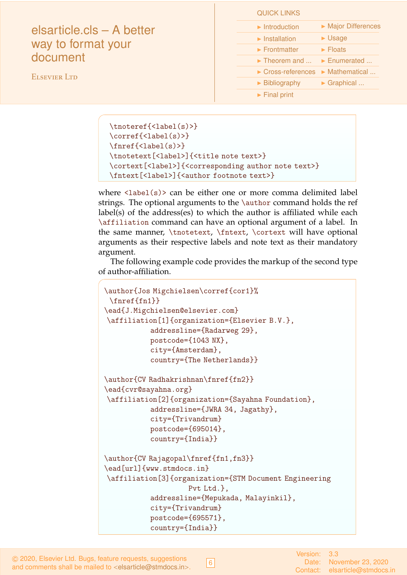# elsarticle.cls – A better way to format your document

ELSEVIER LTD

QUICK LINKS

| $\blacktriangleright$ Introduction | Major Differences            |
|------------------------------------|------------------------------|
| $\blacktriangleright$ Installation | $\blacktriangleright$ Usage  |
| $\blacktriangleright$ Frontmatter  | $\blacktriangleright$ Floats |
| $\blacktriangleright$ Theorem and  | Enumerated                   |
| $\triangleright$ Cross-references  | Mathematical                 |
| $\triangleright$ Bibliography      | Graphical                    |
| $\blacktriangleright$ Final print  |                              |

```
\tnoteref{<label(s)>}
\corref{<label(s)>}
\fnref{<label(s)>}
\tnotetext[<label>]{<title note text>}
\cortext[<label>]{<corresponding author note text>}
\fntext[<label>]{<author footnote text>}
```
where  $\langle$ label(s)> can be either one or more comma delimited label strings. The optional arguments to the \author command holds the ref label(s) of the address(es) to which the author is affiliated while each \affiliation command can have an optional argument of a label. In the same manner, \tnotetext, \fntext, \cortext will have optional arguments as their respective labels and note text as their mandatory argument.

The following example code provides the markup of the second type of author-affiliation.

```
\author{Jos Migchielsen\corref{cor1}%
 \fnref{fn1}}
\ead{J.Migchielsen@elsevier.com}
\affiliation[1]{organization={Elsevier B.V.},
           addressline={Radarweg 29},
           postcode={1043 NX},
           city={Amsterdam},
           country={The Netherlands}}
\author{CV Radhakrishnan\fnref{fn2}}
\ead{cvr@sayahna.org}
\affiliation[2]{organization={Sayahna Foundation},
           addressline={JWRA 34, Jagathy},
           city={Trivandrum}
           postcode={695014},
           country={India}}
\author{CV Rajagopal\fnref{fn1,fn3}}
\ead[url]{www.stmdocs.in}
\affiliation[3]{organization={STM Document Engineering
                    Pvt Ltd.},
           addressline={Mepukada, Malayinkil},
           city={Trivandrum}
           postcode={695571},
           country={India}}
```
6

Version: 3.3 Date: November 23, 2020 Contact: elsarticle@stmdocs.in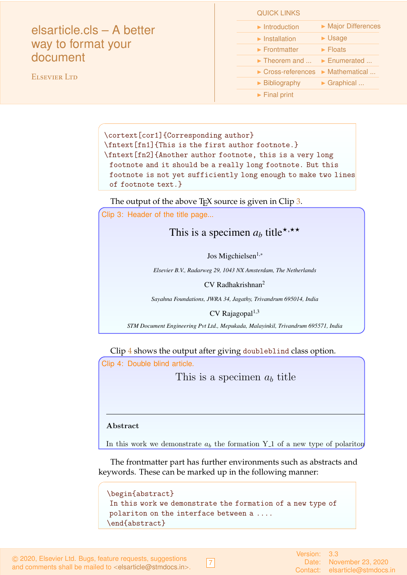| elsarticle.cls - A better<br>way to format your<br>document | $\blacktriangleright$ Introduction<br>$\blacktriangleright$ Installation | Major Differences<br>$\blacktriangleright$ Usage |
|-------------------------------------------------------------|--------------------------------------------------------------------------|--------------------------------------------------|
|                                                             | $\blacktriangleright$ Frontmatter                                        | $\blacktriangleright$ Floats                     |
|                                                             | $\triangleright$ Theorem and $\triangleright$ Enumerated                 |                                                  |
| <b>ELSEVIER LTD</b>                                         | $\triangleright$ Cross-references $\triangleright$ Mathematical          |                                                  |
|                                                             | $\blacktriangleright$ Bibliography                                       | $\triangleright$ Graphical                       |
|                                                             | $\blacktriangleright$ Final print                                        |                                                  |

\cortext[cor1]{Corresponding author} \fntext[fn1]{This is the first author footnote.} \fntext[fn2]{Another author footnote, this is a very long footnote and it should be a really long footnote. But this footnote is not yet sufficiently long enough to make two lines of footnote text.}

QUICK LINKS

The output of the above  $TrX$  source is given in Clip [3.](#page-6-0)

<span id="page-6-0"></span>Clip 3: Header of the title page...

# This is a specimen  $a_b$  title\*,\*\*

Jos Migchielsen<sup>1,∗</sup>

*Elsevier B.V., Radarweg 29, 1043 NX Amsterdam, The Netherlands*

CV Radhakrishnan<sup>2</sup>

*Sayahna Foundations, JWRA 34, Jagathy, Trivandrum 695014, India*

 $CV$  Rajagopal<sup>1,3</sup>

*STM Document Engineering Pvt Ltd., Mepukada, Malayinkil, Trivandrum 695571, India*

Clip [4](#page-6-1) shows the output after giving doubleblind class option.

<span id="page-6-1"></span>Clip 4: Double blind article.

This is a specimen  $a<sub>b</sub>$  title

In this work we demonstrate *a<sup>b</sup>* the formation Y 1 of a new type of polariton on the interface between a cuprous oxide slab and a polystyrene micro-sphere placed on the slab. The evanescent field of the resonant whispering gallery mode (WGM) of the micro sphere has a substantial gradient, and therefore effectively couples with the quadrupole 1*S* excitons in cuprous oxide.

#### $\blacksquare$  Abstract Abstract

Abstract

WGM component. The polariton lower branch has a well probability in the polariton  $\mathcal{C}$ In this work we demonstrate  $a_b$  the formation Y<sub>-1</sub> of a new type of polariton

*Keywords: The company has needed to the factor* keywords. These can be marked up in the following manner: The frontmatter part has further environments such as abstracts and

polariton on the interface between a ....  $\overline{\phantom{a}}$ (WGM) of the micro sphere has a substantial gradient, and therefore effectively effectively effectively effectively effectively effectively effectively effectively effectively effectively effectively effectively effective In this work we demonstrate the formation of a new type of  $\mathcal{A}$  abstract} \begin{abstract}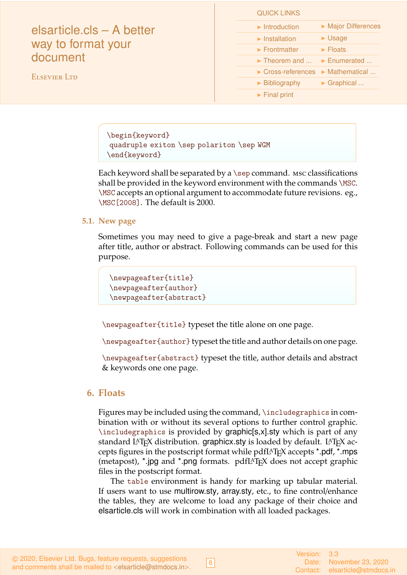| elsarticle.cls - A better |
|---------------------------|
| way to format your        |
| document                  |

ELSEVIER LTD

| <b>QUICK LINKS</b>                 |                              |
|------------------------------------|------------------------------|
| $\blacktriangleright$ Introduction | Major Differences            |
| $\blacktriangleright$ Installation | $\blacktriangleright$ Usage  |
| $\blacktriangleright$ Frontmatter  | $\blacktriangleright$ Floats |
| $\blacktriangleright$ Theorem and  | Enumerated                   |
| $\triangleright$ Cross-references  | Mathematical                 |
| $\blacktriangleright$ Bibliography | Graphical                    |
| $\blacktriangleright$ Final print  |                              |

\begin{keyword} quadruple exiton \sep polariton \sep WGM \end{keyword}

Each keyword shall be separated by a  $\sep$  command. Msc classifications shall be provided in the keyword environment with the commands \MSC. \MSC accepts an optional argument to accommodate future revisions. eg., \MSC[2008]. The default is 2000.

### **5.1. New page**

Sometimes you may need to give a page-break and start a new page after title, author or abstract. Following commands can be used for this purpose.

```
\newpageafter{title}
\newpageafter{author}
\newpageafter{abstract}
```
\newpageafter{title} typeset the title alone on one page.

\newpageafter{author} typeset the title and author details on one page.

\newpageafter{abstract} typeset the title, author details and abstract & keywords one one page.

## <span id="page-7-0"></span>**6. Floats**

Figures may be included using the command, \includegraphics in combination with or without its several options to further control graphic. \includegraphics is provided by graphic[s,x].sty which is part of any standard LAT<sub>E</sub>X distribution. graphicx sty is loaded by default. LAT<sub>E</sub>X accepts figures in the postscript format while pdfLAT<sub>E</sub>X accepts \*.pdf, \*.mps (metapost), \*.jpg and \*.png formats. pdfIAT<sub>E</sub>X does not accept graphic files in the postscript format.

The table environment is handy for marking up tabular material. If users want to use multirow.sty, array.sty, etc., to fine control/enhance the tables, they are welcome to load any package of their choice and elsarticle.cls will work in combination with all loaded packages.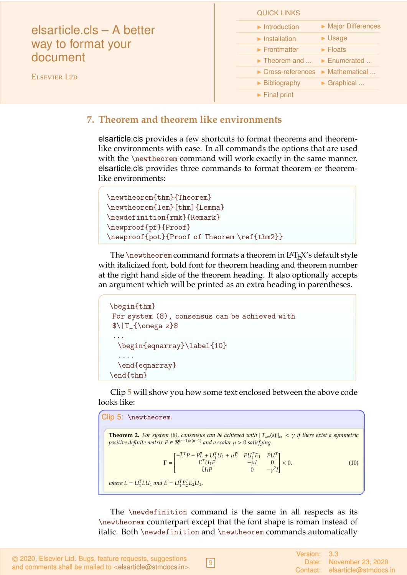| elsarticle.cls – A better<br>way to format your<br>document<br><b>ELSEVIER LTD</b> | <b>QUICK LINKS</b>                                                    |
|------------------------------------------------------------------------------------|-----------------------------------------------------------------------|
|                                                                                    | Major Differences<br>$\blacktriangleright$ Introduction               |
|                                                                                    | $\blacktriangleright$ Usage<br>$\blacktriangleright$ Installation     |
|                                                                                    | $\blacktriangleright$ Floats<br>$\blacktriangleright$ Frontmatter     |
|                                                                                    | $\blacktriangleright$ Enumerated<br>$\blacktriangleright$ Theorem and |
|                                                                                    | $\triangleright$ Cross-references $\triangleright$ Mathematical       |
|                                                                                    | $\triangleright$ Graphical<br>$\triangleright$ Bibliography           |
|                                                                                    | $\blacktriangleright$ Final print                                     |
|                                                                                    |                                                                       |

## <span id="page-8-0"></span>**7. Theorem and theorem like environments**

elsarticle.cls provides a few shortcuts to format theorems and theoremlike environments with ease. In all commands the options that are used with the \newtheorem command will work exactly in the same manner. elsarticle.cls provides three commands to format theorem or theoremlike environments:

```
\newtheorem{thm}{Theorem}
\newtheorem{lem}[thm]{Lemma}
\newdefinition{rmk}{Remark}
\newproof{pf}{Proof}
\newproof{pot}{Proof of Theorem \ref{thm2}}
```
The  $\neq$  the  $\theta$  command formats a theorem in L<sup>A</sup>T<sub>E</sub>X's default style with italicized font, bold font for theorem heading and theorem number at the right hand side of the theorem heading. It also optionally accepts an argument which will be printed as an extra heading in parentheses.

```
\begin{thm}
For system (8), consensus can be achieved with
\lceil \frac{\omega z}{\...
 \begin{eqnarray}\label{10}
  ....
  \end{eqnarray}
\end{thm}
```
Clip [5](#page-8-1) will show you how some text enclosed between the above code looks like:

```
Clip 5: \newtheorem.
    Theorem 2. For system (8), consensus can be achieved with ||T_{\omega z}(s)||_{\infty} < \gamma if there exist a symmetric
    positive definite matrix P ∈ R(n−1)×(n−1) and a scalar µ > 0 satisfying
                                       \Gamma =\begin{bmatrix} -\bar{L}^T P - P\bar{L} + U_1^T U_1 + \mu \bar{E} & P U_1^T E_1 & P U_1^T \\ E_1^T U_1 P & -\mu I & 0 \end{bmatrix}\begin{array}{c} \n \downarrow \\ \n \downarrow \\ \n \downarrow \n \end{array}\hat{U}_1 P 0 −γ<sup>2</sup>I
                                                                                                                 Ī
                                                                                                                 \cdot< 0, (10)
    where \ \bar{L} = U_1^T L U_1 and \bar{E} = U_1^T E_2^T E_2 U_1.
```
The \newdefinition command is the same in all respects as its \newtheorem counterpart except that the font shape is roman instead of italic. Both \newdefinition and \newtheorem commands automatically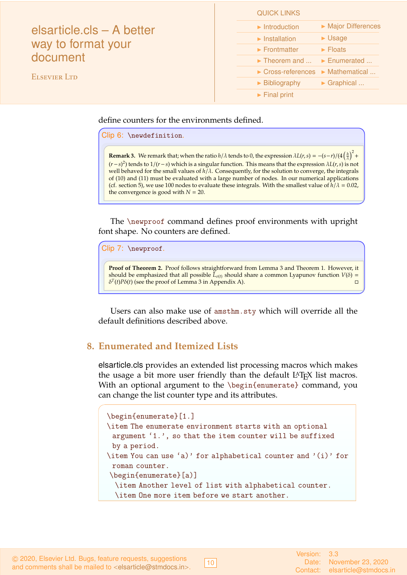| elsarticle.cls - A better |                                                                 |                              |
|---------------------------|-----------------------------------------------------------------|------------------------------|
|                           | $\blacktriangleright$ Introduction                              | Major Differences            |
|                           | $\blacktriangleright$ Installation                              | $\blacktriangleright$ Usage  |
| way to format your        | $\blacktriangleright$ Frontmatter                               | $\blacktriangleright$ Floats |
| document                  | $\triangleright$ Theorem and $\triangleright$ Enumerated        |                              |
| <b>ELSEVIER LTD</b>       | $\triangleright$ Cross-references $\triangleright$ Mathematical |                              |
|                           | $\triangleright$ Bibliography                                   | $\triangleright$ Graphical   |
|                           | $\blacktriangleright$ Final print                               |                              |
|                           |                                                                 |                              |

define counters for the environments defined.

Clip 6: \newdefinition.

**Remark 3.** We remark that; when the ratio  $h/\lambda$  tends to 0, the expression  $\lambda L(r,s) = -(s-r)/(4\left(\frac{h}{\lambda}\right)^2 +$ (*r*−*s*) 2 ) tends to 1/(*r*−*s*) which is a singular function. This means that the expression λ*L*(*r*,*s*) is not well behaved for the small values of *h*/λ. Consequently, for the solution to converge, the integrals of (10) and (11) must be evaluated with a large number of nodes. In our numerical applications (cf. section 5), we use 100 nodes to evaluate these integrals. With the smallest value of  $h/\lambda = 0.02$ , the convergence is good with  $N = 20$ .

QUICK LINKS

The \newproof command defines proof environments with upright font shape. No counters are defined.

Clip 7: \newproof.

**Proof of Theorem 2.** Proof follows straightforward from Lemma 3 and Theorem 1. However, it should be emphasized that all possible  $\bar{L}_{\sigma(t)}$  should share a common Lyapunov function  $V(\delta)$  =  $\delta^T(t)P\delta(t)$  (see the proof of Lemma 3 in Appendix A).

Users can also make use of amsthm.sty which will override all the default definitions described above.

## <span id="page-9-0"></span>**8. Enumerated and Itemized Lists**

elsarticle.cls provides an extended list processing macros which makes the usage a bit more user friendly than the default LAT<sub>E</sub>X list macros. With an optional argument to the \begin{enumerate} command, you can change the list counter type and its attributes.

```
\begin{enumerate}[1.]
\item The enumerate environment starts with an optional
 argument '1.', so that the item counter will be suffixed
 by a period.
\item You can use 'a)' for alphabetical counter and '(i)' for
 roman counter.
\begin{enumerate}[a)]
  \item Another level of list with alphabetical counter.
  \item One more item before we start another.
```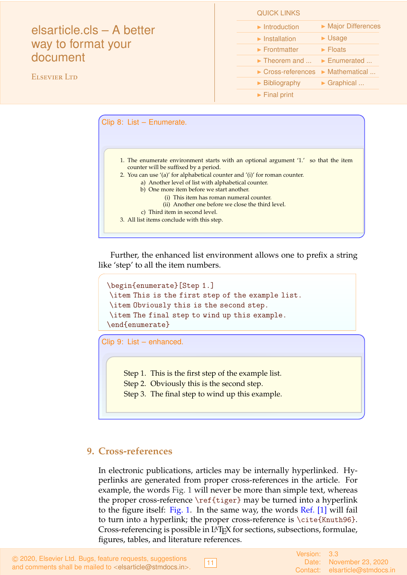# elsarticle.cls – A better way to format your document

ELSEVIER LTD

| <b>QUICK LINKS</b>                 |                              |
|------------------------------------|------------------------------|
| $\blacktriangleright$ Introduction | Major Differences            |
| $\blacktriangleright$ Installation | $\blacktriangleright$ Usage  |
| $\blacktriangleright$ Frontmatter  | $\blacktriangleright$ Floats |
| $\blacktriangleright$ Theorem and  | Enumerated                   |
| $\triangleright$ Cross-references  | Mathematical                 |
| $\blacktriangleright$ Bibliography | $\triangleright$ Graphical   |
| $\blacktriangleright$ Final print  |                              |

| 1. The enumerate environment starts with an optional argument '1.' so that the item                                                                                                                                                                                                                                                                                                                      |  |
|----------------------------------------------------------------------------------------------------------------------------------------------------------------------------------------------------------------------------------------------------------------------------------------------------------------------------------------------------------------------------------------------------------|--|
|                                                                                                                                                                                                                                                                                                                                                                                                          |  |
| counter will be suffixed by a period.<br>2. You can use '(a)' for alphabetical counter and '(i)' for roman counter.<br>a) Another level of list with alphabetical counter.<br>b) One more item before we start another.<br>(i) This item has roman numeral counter.<br>(ii) Another one before we close the third level.<br>c) Third item in second level.<br>3. All list items conclude with this step. |  |

Further, the enhanced list environment allows one to prefix a string like 'step' to all the item numbers.

```
\begin{enumerate}[Step 1.]
\item This is the first step of the example list.
\item Obviously this is the second step.
\item The final step to wind up this example.
\end{enumerate}
```
Clip 9: List – enhanced.

Step 1. This is the first step of the example list.

- Step 2. Obviously this is the second step.
- Step 3. The final step to wind up this example.

# <span id="page-10-0"></span>**9. Cross-references**

In electronic publications, articles may be internally hyperlinked. Hyperlinks are generated from proper cross-references in the article. For example, the words Fig. 1 will never be more than simple text, whereas the proper cross-reference \ref{tiger} may be turned into a hyperlink to the figure itself: Fig. 1. In the same way, the words Ref. [1] will fail to turn into a hyperlink; the proper cross-reference is \cite{Knuth96}. Cross-referencing is possible in LATEX for sections, subsections, formulae, figures, tables, and literature references.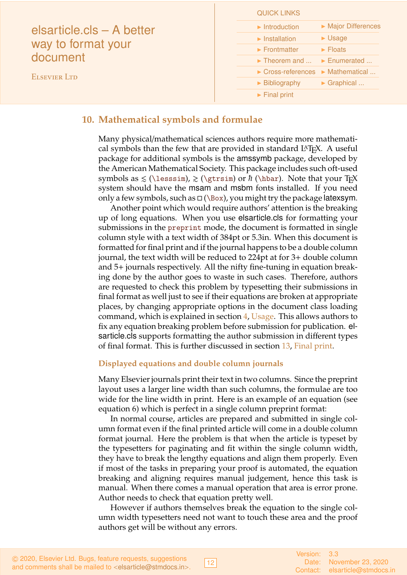|                                                                                    | <b>QUICK LINKS</b>                                                    |
|------------------------------------------------------------------------------------|-----------------------------------------------------------------------|
| elsarticle.cls - A better<br>way to format your<br>document<br><b>ELSEVIER LTD</b> | Major Differences<br>$\blacktriangleright$ Introduction               |
|                                                                                    | $\blacktriangleright$ Usage<br>$\blacktriangleright$ Installation     |
|                                                                                    | $\blacktriangleright$ Floats<br>$\blacktriangleright$ Frontmatter     |
|                                                                                    | $\blacktriangleright$ Enumerated<br>$\blacktriangleright$ Theorem and |
|                                                                                    | $\triangleright$ Cross-references $\triangleright$ Mathematical       |
|                                                                                    | $\triangleright$ Graphical<br>$\triangleright$ Bibliography           |
|                                                                                    | $\blacktriangleright$ Final print                                     |

## <span id="page-11-0"></span>**10. Mathematical symbols and formulae**

Many physical/mathematical sciences authors require more mathematical symbols than the few that are provided in standard  $L^2T_FX$ . A useful package for additional symbols is the amssymb package, developed by the American Mathematical Society. This package includes such oft-used symbols as  $\leq (\text{less} \times)$ ,  $\geq (\text{abs} \times h (\text{box}).$  Note that your T<sub>EX</sub> system should have the msam and msbm fonts installed. If you need only a few symbols, such as  $\Box$  (\Box), you might try the package latexsym.

Another point which would require authors' attention is the breaking up of long equations. When you use elsarticle.cls for formatting your submissions in the preprint mode, the document is formatted in single column style with a text width of 384pt or 5.3in. When this document is formatted for final print and if the journal happens to be a double column journal, the text width will be reduced to 224pt at for 3+ double column and 5+ journals respectively. All the nifty fine-tuning in equation breaking done by the author goes to waste in such cases. Therefore, authors are requested to check this problem by typesetting their submissions in final format as well just to see if their equations are broken at appropriate places, by changing appropriate options in the document class loading command, which is explained in section [4,](#page-1-1) [Usage.](#page-1-1) This allows authors to fix any equation breaking problem before submission for publication. elsarticle.cls supports formatting the author submission in different types of final format. This is further discussed in section [13,](#page-14-0) [Final print.](#page-14-0)

### **Displayed equations and double column journals**

Many Elsevier journals print their text in two columns. Since the preprint layout uses a larger line width than such columns, the formulae are too wide for the line width in print. Here is an example of an equation (see equation 6) which is perfect in a single column preprint format:

In normal course, articles are prepared and submitted in single column format even if the final printed article will come in a double column format journal. Here the problem is that when the article is typeset by the typesetters for paginating and fit within the single column width, they have to break the lengthy equations and align them properly. Even if most of the tasks in preparing your proof is automated, the equation breaking and aligning requires manual judgement, hence this task is manual. When there comes a manual operation that area is error prone. Author needs to check that equation pretty well.

However if authors themselves break the equation to the single column width typesetters need not want to touch these area and the proof authors get will be without any errors.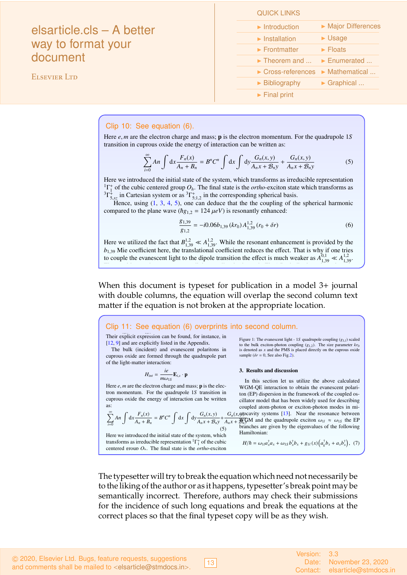# elsarticle.cls – A better way to format your document

ELSEVIER LTD

| <b>QUICK LINKS</b>                 |                                    |
|------------------------------------|------------------------------------|
| $\blacktriangleright$ Introduction | Major Differences                  |
| $\blacktriangleright$ Installation | $\blacktriangleright$ Usage        |
| $\blacktriangleright$ Frontmatter  | $\blacktriangleright$ Floats       |
| $\blacktriangleright$ Theorem and  | Enumerated                         |
| $\triangleright$ Cross-references  | $\blacktriangleright$ Mathematical |
| $\blacktriangleright$ Bibliography | $\triangleright$ Graphical         |
| $\blacktriangleright$ Final print  |                                    |

### Clip 10: See equation (6).

Here *e*, *m* are the electron charge and mass; p is the electron momentum. For the quadrupole 1*S* transition in cuprous oxide the energy of interaction can be written as:

$$
\sum_{i=0}^{\infty} An \int dx \frac{F_n(x)}{A_n + B_n} = B^n C^n \int dx \int dy \frac{G_n(x, y)}{A_n x + B_n y} + \frac{G_n(x, y)}{A_n x + B_n y}
$$
(5)

Here we introduced the initial state of the system, which transforms as irreducible representation  $^{1}\Gamma^{+}_{1}$  of the cubic centered group  $O_h$ . The final state is the *ortho*-exciton state which transforms as  ${}^{3}\Gamma_{5,xz}^{\ddagger}$  in Cartesian system or as  ${}^{3}\Gamma_{5;1,2}^{\ddagger}$  in the corresponding spherical basis.

Hence, using  $(1, 3, 4, 5)$ , one can deduce that the the coupling of the spherical harmonic compared to the plane wave ( $\hbar g_{1,2} = 124 \,\mu eV$ ) is resonantly enhanced:

$$
\frac{g_{1,39}}{g_{1,2}} = -i0.06b_{1,39} (kr_0) A_{1,39}^{1,2} (r_0 + \delta r)
$$
 (6)

Here we utilized the fact that  $B_{1,39}^{1,2} \ll A_{1,39}^{1,2}$ . While the resonant enhancement is provided by the *b*<sub>1,39</sub> Mie coefficient here, the translational coefficient reduces the effect. That is why if one tries to couple the evanescent light to the dipole transition the effect is much weaker as  $A_{1,39}^{0,1} \ll A_{1,39}^{1,2}$ .

The resulting exciton - evanescent light coupling is shown in Fig.1 Both dipole and quadrupole

When this document is typeset for publication in a model 3+ journal with double columns, the equation will overlap the second column text matter if the equation is not broken at the appropriate location. iui double columns, the equation the vector spherical harmonic addition theorem  $\mathbf{1}$ 

#### Clip 11: See equation (6) overprints into second column. <sup>1</sup>,<sup>39</sup> (*r*<sup>0</sup> + δ*r*) M*ml* + *B* <sup>1</sup>,<sup>39</sup> (*r*<sup>0</sup> + δ*r*) N*ml* (4) Here *A ml* <sup>1</sup>,<sup>39</sup> and *B ml* <sup>1</sup>,<sup>39</sup> are the translational coefficients.

in Cartesian system or

Their explicit expression can be found, for instance, in [12, 9] and are explicitly listed in the Appendix.

The bulk (incident) and evanescent polaritons in cuprous oxide are formed through the quadrupole part of the light-matter interaction:

$$
H_{int} = \frac{ie}{m\omega_{1S}} \mathbf{E}_{i,s} \cdot \mathbf{p}
$$

Figure 1: The evantum and the exciton-phage and mass, *p* is the even to the photon in the bulk exciton-photon momentum. For the quadrupole 1*S* transition in the *framework* of the coupled Here  $e$ ,  $m$  are the electron charge and mass;  $\bf{p}$  is the eleccuprous oxide the energy of interaction can be written as:

$$
\sum_{i=0}^{\infty} An \int \mathrm{d}x \frac{F_n(x)}{A_n + B_n} = B^n C^n \int \mathrm{d}x \int \mathrm{d}y \frac{G_n(x, y)}{A_n x + B_n y} + \frac{1}{A_n} \int \mathrm{d}y \frac{G_n(x, y)}{A_n + B_n y}
$$

Figure 1: The evanescent light - 1*S* quadrupole coupling (*g*1,*l*) scaled to the bulk exciton-photon coupling  $(g_{1,2})$ . The size parameter  $kr_0$ is denoted as *x* and the PMS is placed directly on the cuprous oxide sample ( $\delta r = 0$ , See also Fig.2).

### 3. Results and discussion

from momentum. For the quadrupole 1S transition in the parameter is denoted as a contract of the coupled os-<br>ton (EP) dispersion in the framework of the coupled oscoupled atom-photon or exciton-photon modes in mi-<br>  $\sum_{n=1}^{\infty}$  *A<sub>n</sub>*  $\int_{A_n} F_n(x) = p^n C^n \int_{A_n} \int_{A_n} G_n(x, y)$  *G<sub>n</sub>*(*x, gy*) *G<sub>n</sub>*(*x, gy*) cavity systems [13]. Near the resonance between  $\sum_{i=0} An \int dx \frac{I_n(x)}{A_n + B_n} = B^n C^n \int dx \int dy \frac{G_n(x,y)}{A_n x + B_n y} + \frac{G_n(x,y)\delta G_n(x,y)}{A_n x + B_n y}$  and the quadrupole exciton  $\omega_1 \approx \omega_{13}$  the EP  $rac{1}{\sqrt{1-\mu}}$  of  $\frac{1}{\mu}$   $\frac{1}{\mu}$   $\frac{1}{\mu}$   $\frac{1}{\mu}$   $\frac{1}{\mu}$   $\frac{1}{\mu}$   $\frac{1}{\mu}$   $\frac{1}{\mu}$  branches are given by the eigenvalues of the following Here we introduced the initial state of the system, which  $\frac{1}{2}$  Hamiltonian: In this section let us utilize the above calculated WGM-QE interaction to obtain the evanescent polaricillator model that has been widely used for describing coupled atom-photon or exciton-photon modes in mi-Hamiltonian:

transforms as irreducible representation  ${}^{1}\Gamma_{1}^{+}$  of the cubic  $H/\hbar = \omega_{1l} a_{x}^{\dagger} a_{x} + \omega_{1s} b_{x}^{\dagger} b_{x} + g_{1l}(x) \left( a_{k}^{\dagger} b_{x} + a_{k} b_{x}^{\dagger} \right)$ , centered group  $O_h$ . The final state is the *ortho*-exciton

+

is the subject of our future work.

state which transforms as <sup>3</sup>Γ

 $H/\hbar = \omega_{1l} a_x^{\dagger} a_x + \omega_{1S} b_x^{\dagger} b_x + g_{1l}(x) \left( a_k^{\dagger} b_x + a_x b_x^{\dagger} \right),$  (7) here *ax*, *b<sup>x</sup>* are annihilation operators for light and the

<span id="page-12-0"></span>he typesetter will try to break the equation which need not necessarily be the liking of the author or as it happens, typesetter's break point may b semantically incorrect. Therefore, authors may check their submissions for the incidence of such long equations and break the equations at the to the liking of the author or as it happens, typesetter's break point may be  $r_{\text{reco}}$  provided by the  $\frac{1}{3}$  by the  $\frac{1}{3}$ efficient places so that the thial types The typesetter will try to break the equation which need not necessarily be  $\delta$ correct places so that the final typeset copy will be as they wish.

 $|13|$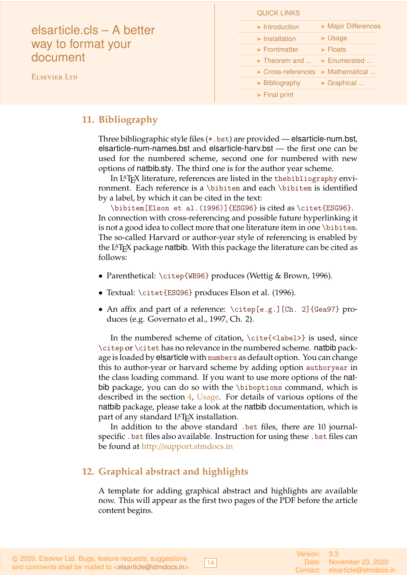| <b>QUICK LINKS</b>                                                                     |                              |
|----------------------------------------------------------------------------------------|------------------------------|
| $\blacktriangleright$ Introduction<br>elsarticle.cls – A better                        | Major Differences            |
| $\blacktriangleright$ Installation                                                     | $\blacktriangleright$ Usage  |
| way to format your<br>$\blacktriangleright$ Frontmatter                                | $\blacktriangleright$ Floats |
| document<br>$\triangleright$ Theorem and $\triangleright$ Enumerated                   |                              |
| $\triangleright$ Cross-references $\triangleright$ Mathematical<br><b>ELSEVIER LTD</b> |                              |
| $\triangleright$ Bibliography                                                          | $\triangleright$ Graphical   |
| $\blacktriangleright$ Final print                                                      |                              |

## **11. Bibliography**

Three bibliographic style files (\*.bst) are provided — elsarticle-num.bst, elsarticle-num-names.bst and elsarticle-harv.bst — the first one can be used for the numbered scheme, second one for numbered with new options of natbib.sty. The third one is for the author year scheme.

In L<sup>A</sup>T<sub>E</sub>X literature, references are listed in the thebibliography environment. Each reference is a \bibitem and each \bibitem is identified by a label, by which it can be cited in the text:

\bibitem[Elson et al.(1996)]{ESG96} is cited as \citet{ESG96}. In connection with cross-referencing and possible future hyperlinking it is not a good idea to collect more that one literature item in one \bibitem. The so-called Harvard or author-year style of referencing is enabled by the LATEX package natbib. With this package the literature can be cited as follows:

- Parenthetical: \citep{WB96} produces (Wettig & Brown, 1996).
- Textual: \citet{ESG96} produces Elson et al. (1996).
- An affix and part of a reference: \citep[e.g.][Ch. 2]{Gea97} produces (e.g. Governato et al., 1997, Ch. 2).

In the numbered scheme of citation, \cite{<label>} is used, since \citep or \citet has no relevance in the numbered scheme. natbib package is loaded by elsarticle with numbers as default option. You can change this to author-year or harvard scheme by adding option authoryear in the class loading command. If you want to use more options of the natbib package, you can do so with the \biboptions command, which is described in the section [4,](#page-1-1) [Usage.](#page-1-1) For details of various options of the natbib package, please take a look at the natbib documentation, which is part of any standard L<sup>A</sup>T<sub>F</sub>X installation.

In addition to the above standard .bst files, there are 10 journalspecific .bst files also available. Instruction for using these .bst files can be found at http://[support.stmdocs.in](http://support.stmdocs.in/wiki/index.php?title=Model-wise_bibliographic_style_files)

# <span id="page-13-0"></span>**12. Graphical abstract and highlights**

A template for adding graphical abstract and highlights are available now. This will appear as the first two pages of the PDF before the article content begins.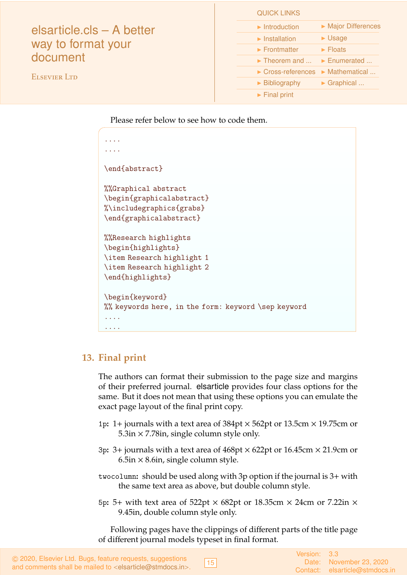|                                                             | <b>QUICK LINKS</b>                                                |
|-------------------------------------------------------------|-------------------------------------------------------------------|
| elsarticle.cls – A better<br>way to format your<br>document | Major Differences<br>$\blacktriangleright$ Introduction           |
|                                                             | $\blacktriangleright$ Usage<br>$\blacktriangleright$ Installation |
|                                                             | $\blacktriangleright$ Frontmatter<br>$\blacktriangleright$ Floats |
|                                                             | $\triangleright$ Theorem and $\triangleright$ Enumerated          |
| <b>ELSEVIER LTD</b>                                         | ▶ Cross-references ▶ Mathematical                                 |
|                                                             | $\triangleright$ Graphical<br>$\blacktriangleright$ Bibliography  |
|                                                             | $\blacktriangleright$ Final print                                 |

Please refer below to see how to code them.

| .                                                   |
|-----------------------------------------------------|
| .                                                   |
| \end{abstract}                                      |
|                                                     |
| <i><b>%Graphical abstract</b></i>                   |
| \begin{graphicalabstract}                           |
| %\includegraphics{grabs}                            |
| \end{graphicalabstract}                             |
|                                                     |
| <i><b>%Research highlights</b></i>                  |
| \begin{highlights}                                  |
| \item Research highlight 1                          |
| \item Research highlight 2                          |
| \end{highlights}                                    |
| \begin{keyword}                                     |
| %% keywords here, in the form: keyword \sep keyword |
|                                                     |
|                                                     |
|                                                     |

# <span id="page-14-0"></span>**13. Final print**

The authors can format their submission to the page size and margins of their preferred journal. elsarticle provides four class options for the same. But it does not mean that using these options you can emulate the exact page layout of the final print copy.

- 1p**:** 1+ journals with a text area of 384pt × 562pt or 13.5cm × 19.75cm or  $5.3$ in  $\times$  7.78in, single column style only.
- 3p**:** 3+ journals with a text area of 468pt × 622pt or 16.45cm × 21.9cm or  $6.5$ in  $\times$  8.6in, single column style.
- twocolumn**:** should be used along with 3p option if the journal is 3+ with the same text area as above, but double column style.
- 5p**:** 5+ with text area of 522pt × 682pt or 18.35cm × 24cm or 7.22in × 9.45in, double column style only.

Following pages have the clippings of different parts of the title page of different journal models typeset in final format.

 c 2020, Elsevier Ltd. Bugs, feature requests, suggestions and comments shall be mailed to <[elsarticle@stmdocs.in](mailto:elsarticle@stmdocs.in)>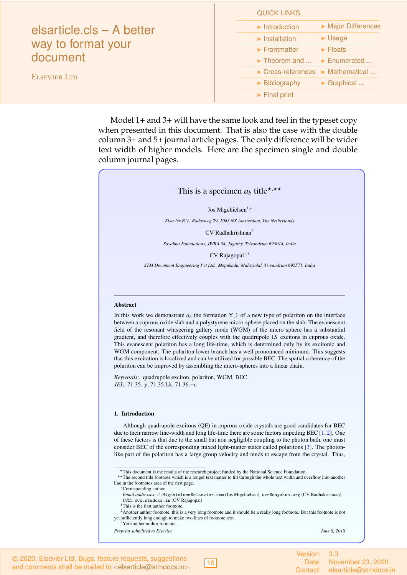|                                                                                    | <b>QUICK LINKS</b>                                                |
|------------------------------------------------------------------------------------|-------------------------------------------------------------------|
| elsarticle.cls - A better<br>way to format your<br>document<br><b>ELSEVIER LTD</b> | Major Differences<br>$\blacktriangleright$ Introduction           |
|                                                                                    | $\blacktriangleright$ Usage<br>$\blacktriangleright$ Installation |
|                                                                                    | $\blacktriangleright$ Frontmatter<br>$\blacktriangleright$ Floats |
|                                                                                    | $\triangleright$ Theorem and $\triangleright$ Enumerated          |
|                                                                                    | $\triangleright$ Cross-references $\triangleright$ Mathematical   |
|                                                                                    | $\triangleright$ Graphical<br>$\triangleright$ Bibliography       |
|                                                                                    | $\blacktriangleright$ Final print                                 |

Model 1+ and 3+ will have the same look and feel in the typeset copy when presented in this document. That is also the case with the double column 3+ and 5+ journal article pages. The only difference will be wider text width of higher models. Here are the specimen single and double column journal pages.

### This is a specimen  $a_b$  title\*,\*\*

Jos Migchielsen<sup>1,∗</sup>

*Elsevier B.V., Radarweg 29, 1043 NX Amsterdam, The Netherlands*

CV Radhakrishnan<sup>2</sup>

*Sayahna Foundations, JWRA 34, Jagathy, Trivandrum 695014, India*

CV Rajagopal<sup>1,3</sup>

*STM Document Engineering Pvt Ltd., Mepukada, Malayinkil, Trivandrum 695571, India*

### Abstract

In this work we demonstrate  $a<sub>b</sub>$  the formation Y<sub>-1</sub> of a new type of polariton on the interface [between a cuprous oxide slab and a polystyrene micro-sphere placed on the slab. The evanescent](#page-0-2) field of the resonant whispering gallery mode (WGM) of the micro sphere has a substantial gradient, and therefore effectively couples with the quadrupole 1*S* excitons in cuprous oxide. This evanescent polariton has a long life-time, which is determined only by its excitonic and WGM component. The polariton lower branch has a well pronounced minimum. This suggests that this excitation is localized and can be utilized for possible BEC. The spatial coherence of the polariton can be improved by assembling the micro-spheres into a linear chain.

*Keywords:* quadrupole exciton, polariton, WGM, BEC *JEL:* 71.35.-y, 71.35.Lk, 71.36.+c

### 1. Introduction

Although quadrupole excitons (QE) in cuprous oxide crystals are good candidates for BEC due to their narrow line-width and long life-time there are some factors impeding BEC [1, 2]. One of these factors is that due to the small but non negligible coupling to the photon bath, one must consider BEC of the corresponding mixed light-matter states called polaritons [3]. The photonlike part of the polariton has a large group velocity and tends to escape from the crystal. Thus,

\*\* The second title footnote which is a longer text matter to fill through the whole text width and overflow into another line in the footnotes area of the first page.

<sup>?</sup>This document is the results of the research project funded by the National Science Foundation.

<sup>∗</sup>Corresponding author

*Email addresses:* J.Migchielsen@elsevier.com (Jos Migchielsen), cvr@sayahna.org (CV Radhakrishnan) *URL:* www.stmdocs.in (CV Rajagopal)

<sup>&</sup>lt;sup>1</sup>This is the first author footnote.

<sup>&</sup>lt;sup>2</sup>Another author footnote, this is a very long footnote and it should be a really long footnote. But this footnote is not yet sufficiently long enough to make two lines of footnote text.

<sup>&</sup>lt;sup>3</sup>Yet another author footnote.

*Preprint submitted to Elsevier June 8, 2018*